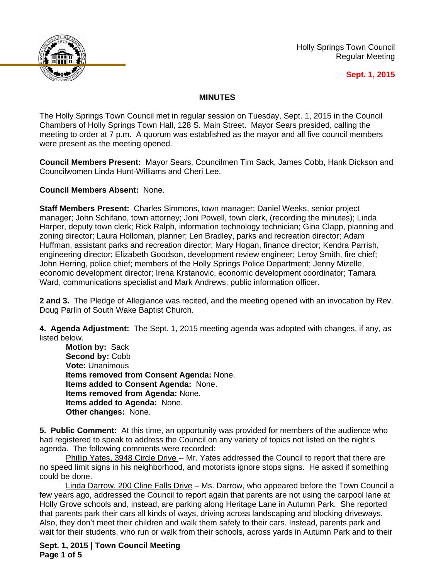

Holly Springs Town Council Regular Meeting

#### **Sept. 1, 2015**

# **MINUTES**

The Holly Springs Town Council met in regular session on Tuesday, Sept. 1, 2015 in the Council Chambers of Holly Springs Town Hall, 128 S. Main Street. Mayor Sears presided, calling the meeting to order at 7 p.m. A quorum was established as the mayor and all five council members were present as the meeting opened.

**Council Members Present:** Mayor Sears, Councilmen Tim Sack, James Cobb, Hank Dickson and Councilwomen Linda Hunt-Williams and Cheri Lee.

**Council Members Absent:** None.

**Staff Members Present:** Charles Simmons, town manager; Daniel Weeks, senior project manager; John Schifano, town attorney; Joni Powell, town clerk, (recording the minutes); Linda Harper, deputy town clerk; Rick Ralph, information technology technician; Gina Clapp, planning and zoning director; Laura Holloman, planner; Len Bradley, parks and recreation director; Adam Huffman, assistant parks and recreation director; Mary Hogan, finance director; Kendra Parrish, engineering director; Elizabeth Goodson, development review engineer; Leroy Smith, fire chief; John Herring, police chief; members of the Holly Springs Police Department; Jenny Mizelle, economic development director; Irena Krstanovic, economic development coordinator; Tamara Ward, communications specialist and Mark Andrews, public information officer.

**2 and 3.** The Pledge of Allegiance was recited, and the meeting opened with an invocation by Rev. Doug Parlin of South Wake Baptist Church.

**4. Agenda Adjustment:** The Sept. 1, 2015 meeting agenda was adopted with changes, if any, as listed below.

**Motion by:** Sack Second by: Cobb **Vote:** Unanimous **Items removed from Consent Agenda:** None. **Items added to Consent Agenda:** None. **Items removed from Agenda:** None. **Items added to Agenda:** None. **Other changes:** None.

**5. Public Comment:** At this time, an opportunity was provided for members of the audience who had registered to speak to address the Council on any variety of topics not listed on the night's agenda. The following comments were recorded:

Phillip Yates, 3948 Circle Drive -- Mr. Yates addressed the Council to report that there are no speed limit signs in his neighborhood, and motorists ignore stops signs. He asked if something could be done.

Linda Darrow, 200 Cline Falls Drive – Ms. Darrow, who appeared before the Town Council a few years ago, addressed the Council to report again that parents are not using the carpool lane at Holly Grove schools and, instead, are parking along Heritage Lane in Autumn Park. She reported that parents park their cars all kinds of ways, driving across landscaping and blocking driveways. Also, they don't meet their children and walk them safely to their cars. Instead, parents park and wait for their students, who run or walk from their schools, across yards in Autumn Park and to their

**Sept. 1, 2015 | Town Council Meeting Page 1 of 5**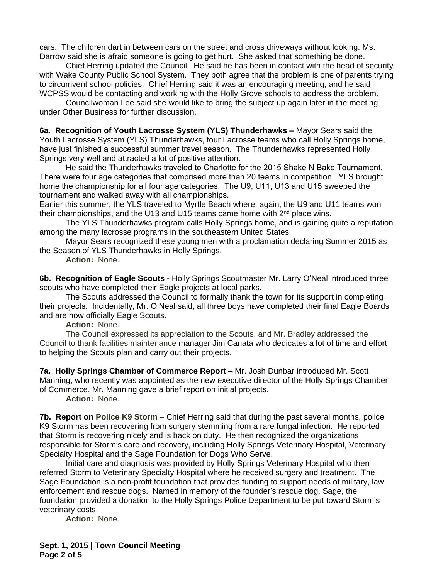cars. The children dart in between cars on the street and cross driveways without looking. Ms. Darrow said she is afraid someone is going to get hurt. She asked that something be done.

Chief Herring updated the Council. He said he has been in contact with the head of security with Wake County Public School System. They both agree that the problem is one of parents trying to circumvent school policies. Chief Herring said it was an encouraging meeting, and he said WCPSS would be contacting and working with the Holly Grove schools to address the problem.

Councilwoman Lee said she would like to bring the subject up again later in the meeting under Other Business for further discussion.

**6a. Recognition of Youth Lacrosse System (YLS) Thunderhawks –** Mayor Sears said the Youth Lacrosse System (YLS) Thunderhawks, four Lacrosse teams who call Holly Springs home, have just finished a successful summer travel season. The Thunderhawks represented Holly Springs very well and attracted a lot of positive attention.

He said the Thunderhawks traveled to Charlotte for the 2015 Shake N Bake Tournament. There were four age categories that comprised more than 20 teams in competition. YLS brought home the championship for all four age categories. The U9, U11, U13 and U15 sweeped the tournament and walked away with all championships.

Earlier this summer, the YLS traveled to Myrtle Beach where, again, the U9 and U11 teams won their championships, and the U13 and U15 teams came home with 2<sup>nd</sup> place wins.

The YLS Thunderhawks program calls Holly Springs home, and is gaining quite a reputation among the many lacrosse programs in the southeastern United States.

Mayor Sears recognized these young men with a proclamation declaring Summer 2015 as the Season of YLS Thunderhawks in Holly Springs.

**Action:** None.

**6b. Recognition of Eagle Scouts -** Holly Springs Scoutmaster Mr. Larry O'Neal introduced three scouts who have completed their Eagle projects at local parks.

The Scouts addressed the Council to formally thank the town for its support in completing their projects. Incidentally, Mr. O'Neal said, all three boys have completed their final Eagle Boards and are now officially Eagle Scouts.

**Action:** None.

The Council expressed its appreciation to the Scouts, and Mr. Bradley addressed the Council to thank facilities maintenance manager Jim Canata who dedicates a lot of time and effort to helping the Scouts plan and carry out their projects.

**7a. Holly Springs Chamber of Commerce Report – Mr. Josh Dunbar introduced Mr. Scott** Manning, who recently was appointed as the new executive director of the Holly Springs Chamber of Commerce. Mr. Manning gave a brief report on initial projects.

**Action:** None.

**7b. Report on Police K9 Storm –** Chief Herring said that during the past several months, police K9 Storm has been recovering from surgery stemming from a rare fungal infection. He reported that Storm is recovering nicely and is back on duty. He then recognized the organizations responsible for Storm's care and recovery, including Holly Springs Veterinary Hospital, Veterinary Specialty Hospital and the Sage Foundation for Dogs Who Serve.

Initial care and diagnosis was provided by Holly Springs Veterinary Hospital who then referred Storm to Veterinary Specialty Hospital where he received surgery and treatment. The Sage Foundation is a non-profit foundation that provides funding to support needs of military, law enforcement and rescue dogs. Named in memory of the founder's rescue dog, Sage, the foundation provided a donation to the Holly Springs Police Department to be put toward Storm's veterinary costs.

**Action:** None.

**Sept. 1, 2015 | Town Council Meeting Page 2 of 5**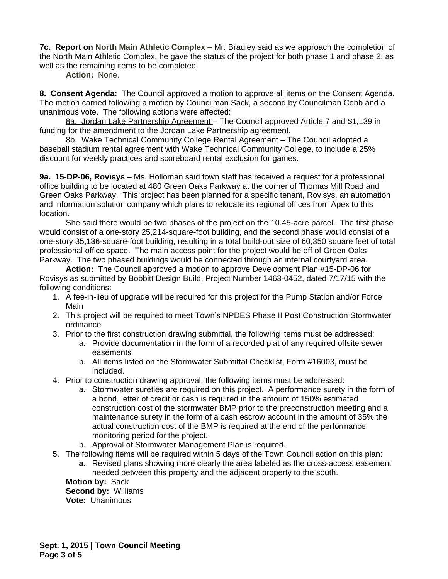**7c. Report on North Main Athletic Complex –** Mr. Bradley said as we approach the completion of the North Main Athletic Complex, he gave the status of the project for both phase 1 and phase 2, as well as the remaining items to be completed.

**Action:** None.

**8. Consent Agenda:** The Council approved a motion to approve all items on the Consent Agenda. The motion carried following a motion by Councilman Sack, a second by Councilman Cobb and a unanimous vote. The following actions were affected:

8a. Jordan Lake Partnership Agreement – The Council approved Article 7 and \$1,139 in funding for the amendment to the Jordan Lake Partnership agreement.

8b. Wake Technical Community College Rental Agreement – The Council adopted a baseball stadium rental agreement with Wake Technical Community College, to include a 25% discount for weekly practices and scoreboard rental exclusion for games.

**9a. 15-DP-06, Rovisys –** Ms. Holloman said town staff has received a request for a professional office building to be located at 480 Green Oaks Parkway at the corner of Thomas Mill Road and Green Oaks Parkway. This project has been planned for a specific tenant, Rovisys, an automation and information solution company which plans to relocate its regional offices from Apex to this location.

She said there would be two phases of the project on the 10.45-acre parcel. The first phase would consist of a one-story 25,214-square-foot building, and the second phase would consist of a one-story 35,136-square-foot building, resulting in a total build-out size of 60,350 square feet of total professional office space. The main access point for the project would be off of Green Oaks Parkway. The two phased buildings would be connected through an internal courtyard area.

**Action:** The Council approved a motion to approve Development Plan #15-DP-06 for Rovisys as submitted by Bobbitt Design Build, Project Number 1463-0452, dated 7/17/15 with the following conditions:

- 1. A fee-in-lieu of upgrade will be required for this project for the Pump Station and/or Force Main
- 2. This project will be required to meet Town's NPDES Phase II Post Construction Stormwater ordinance
- 3. Prior to the first construction drawing submittal, the following items must be addressed:
	- a. Provide documentation in the form of a recorded plat of any required offsite sewer easements
	- b. All items listed on the Stormwater Submittal Checklist, Form #16003, must be included.
- 4. Prior to construction drawing approval, the following items must be addressed:
	- a. Stormwater sureties are required on this project. A performance surety in the form of a bond, letter of credit or cash is required in the amount of 150% estimated construction cost of the stormwater BMP prior to the preconstruction meeting and a maintenance surety in the form of a cash escrow account in the amount of 35% the actual construction cost of the BMP is required at the end of the performance monitoring period for the project.
	- b. Approval of Stormwater Management Plan is required.
- 5. The following items will be required within 5 days of the Town Council action on this plan:
	- **a.** Revised plans showing more clearly the area labeled as the cross-access easement needed between this property and the adjacent property to the south.

**Motion by:** Sack **Second by:** Williams **Vote:** Unanimous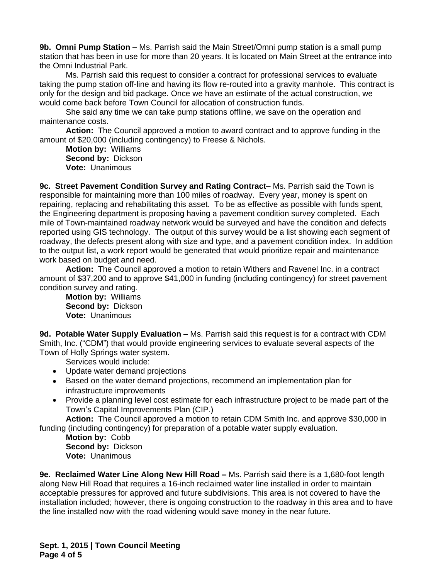**9b. Omni Pump Station –** Ms. Parrish said the Main Street/Omni pump station is a small pump station that has been in use for more than 20 years. It is located on Main Street at the entrance into the Omni Industrial Park.

Ms. Parrish said this request to consider a contract for professional services to evaluate taking the pump station off-line and having its flow re-routed into a gravity manhole. This contract is only for the design and bid package. Once we have an estimate of the actual construction, we would come back before Town Council for allocation of construction funds.

She said any time we can take pump stations offline, we save on the operation and maintenance costs.

**Action:** The Council approved a motion to award contract and to approve funding in the amount of \$20,000 (including contingency) to Freese & Nichols.

**Motion by:** Williams **Second by:** Dickson **Vote:** Unanimous

**9c. Street Pavement Condition Survey and Rating Contract–** Ms. Parrish said the Town is responsible for maintaining more than 100 miles of roadway. Every year, money is spent on repairing, replacing and rehabilitating this asset. To be as effective as possible with funds spent, the Engineering department is proposing having a pavement condition survey completed. Each mile of Town-maintained roadway network would be surveyed and have the condition and defects reported using GIS technology. The output of this survey would be a list showing each segment of roadway, the defects present along with size and type, and a pavement condition index. In addition to the output list, a work report would be generated that would prioritize repair and maintenance work based on budget and need.

**Action:** The Council approved a motion to retain Withers and Ravenel Inc. in a contract amount of \$37,200 and to approve \$41,000 in funding (including contingency) for street pavement condition survey and rating.

**Motion by:** Williams **Second by:** Dickson **Vote:** Unanimous

**9d. Potable Water Supply Evaluation –** Ms. Parrish said this request is for a contract with CDM Smith, Inc. ("CDM") that would provide engineering services to evaluate several aspects of the Town of Holly Springs water system.

Services would include:

- Update water demand projections
- Based on the water demand projections, recommend an implementation plan for infrastructure improvements
- Provide a planning level cost estimate for each infrastructure project to be made part of the Town's Capital Improvements Plan (CIP.)

**Action:** The Council approved a motion to retain CDM Smith Inc. and approve \$30,000 in funding (including contingency) for preparation of a potable water supply evaluation.

**Motion by:** Cobb **Second by:** Dickson **Vote:** Unanimous

**9e. Reclaimed Water Line Along New Hill Road –** Ms. Parrish said there is a 1,680-foot length along New Hill Road that requires a 16-inch reclaimed water line installed in order to maintain acceptable pressures for approved and future subdivisions. This area is not covered to have the installation included; however, there is ongoing construction to the roadway in this area and to have the line installed now with the road widening would save money in the near future.